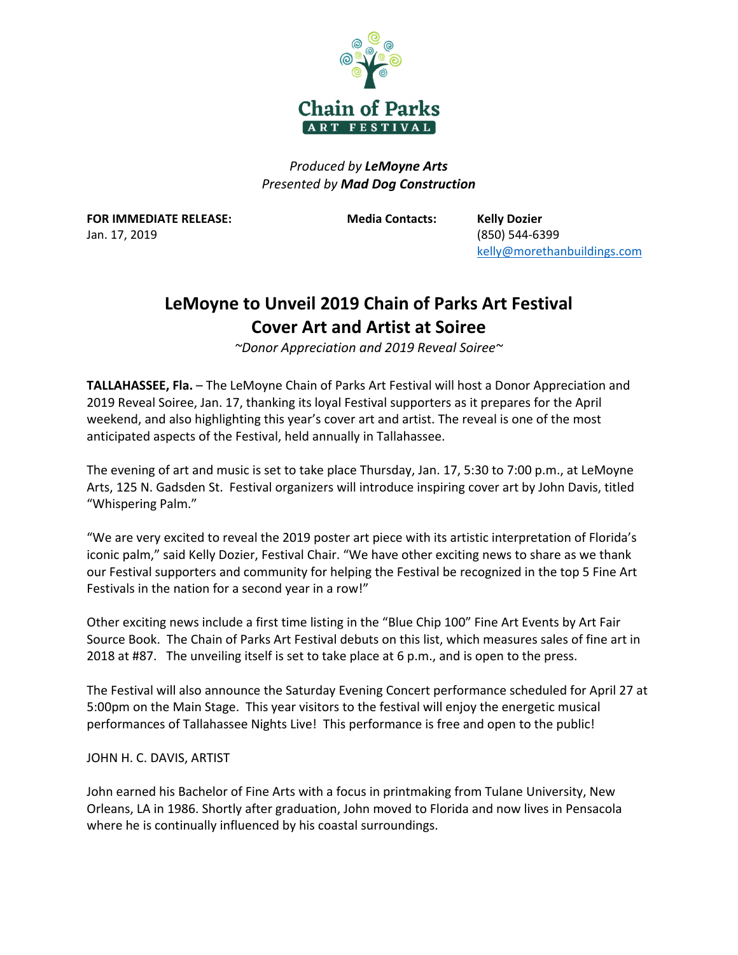

*Produced by LeMoyne Arts Presented by Mad Dog Construction*

**FOR IMMEDIATE RELEASE: Media Contacts: Kelly Dozier**  Jan. 17, 2019 (850) 544‐6399

kelly@morethanbuildings.com

## **LeMoyne to Unveil 2019 Chain of Parks Art Festival Cover Art and Artist at Soiree**

*~Donor Appreciation and 2019 Reveal Soiree~* 

**TALLAHASSEE, Fla.** – The LeMoyne Chain of Parks Art Festival will host a Donor Appreciation and 2019 Reveal Soiree, Jan. 17, thanking its loyal Festival supporters as it prepares for the April weekend, and also highlighting this year's cover art and artist. The reveal is one of the most anticipated aspects of the Festival, held annually in Tallahassee.

The evening of art and music is set to take place Thursday, Jan. 17, 5:30 to 7:00 p.m., at LeMoyne Arts, 125 N. Gadsden St. Festival organizers will introduce inspiring cover art by John Davis, titled "Whispering Palm."

"We are very excited to reveal the 2019 poster art piece with its artistic interpretation of Florida's iconic palm," said Kelly Dozier, Festival Chair. "We have other exciting news to share as we thank our Festival supporters and community for helping the Festival be recognized in the top 5 Fine Art Festivals in the nation for a second year in a row!"

Other exciting news include a first time listing in the "Blue Chip 100" Fine Art Events by Art Fair Source Book. The Chain of Parks Art Festival debuts on this list, which measures sales of fine art in 2018 at #87. The unveiling itself is set to take place at 6 p.m., and is open to the press.

The Festival will also announce the Saturday Evening Concert performance scheduled for April 27 at 5:00pm on the Main Stage. This year visitors to the festival will enjoy the energetic musical performances of Tallahassee Nights Live! This performance is free and open to the public!

JOHN H. C. DAVIS, ARTIST

John earned his Bachelor of Fine Arts with a focus in printmaking from Tulane University, New Orleans, LA in 1986. Shortly after graduation, John moved to Florida and now lives in Pensacola where he is continually influenced by his coastal surroundings.